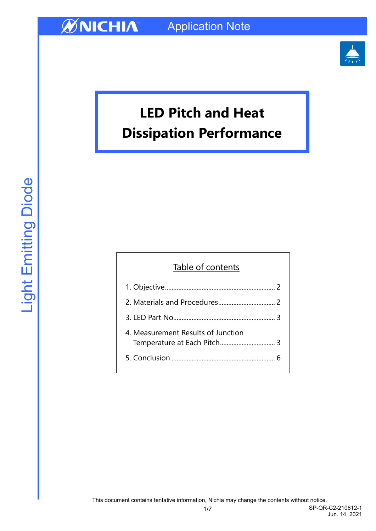

# **LED Pitch and Heat Dissipation Performance**

# Table of contents

| 4. Measurement Results of Junction |  |
|------------------------------------|--|
|                                    |  |

1/7 SP-QR-C2-210612-1 Jun. 14, 2021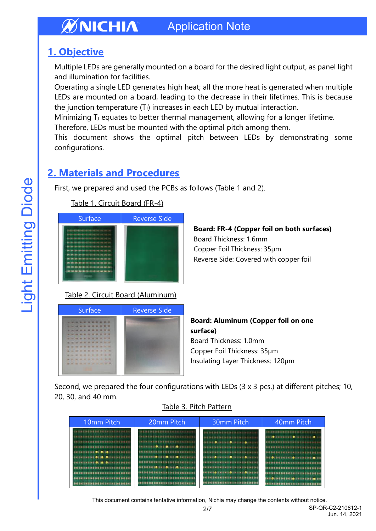# <span id="page-1-0"></span>**1. Objective**

Multiple LEDs are generally mounted on a board for the desired light output, as panel light and illumination for facilities.

Operating a single LED generates high heat; all the more heat is generated when multiple LEDs are mounted on a board, leading to the decrease in their lifetimes. This is because the junction temperature  $(T_J)$  increases in each LED by mutual interaction.

Minimizing  $T_J$  equates to better thermal management, allowing for a longer lifetime.

Therefore, LEDs must be mounted with the optimal pitch among them. This document shows the optimal pitch between LEDs by demonstrating some

### configurations.

# <span id="page-1-1"></span>**2. Materials and Procedures**

First, we prepared and used the PCBs as follows (Table 1 and 2).



### Table 1. Circuit Board (FR-4)

# **Board: FR-4 (Copper foil on both surfaces)**

Board Thickness: 1.6mm Copper Foil Thickness: 35µm Reverse Side: Covered with copper foil

# Surface Reverse Side

Table 2. Circuit Board (Aluminum)

**Board: Aluminum (Copper foil on one surface)** Board Thickness: 1.0mm Copper Foil Thickness: 35µm Insulating Layer Thickness: 120µm

Second, we prepared the four configurations with LEDs (3 x 3 pcs.) at different pitches; 10, 20, 30, and 40 mm.

### Table 3. Pitch Pattern

| 10mm Pitch                                    | 20mm Pitch                                       | 30mm Pitch                                    | 40mm Pitch                                        |  |  |  |  |  |  |
|-----------------------------------------------|--------------------------------------------------|-----------------------------------------------|---------------------------------------------------|--|--|--|--|--|--|
| - EMERNE ENE ENEXUE ENEXUE 24 5 121 12        |                                                  | <b>SWESHEEMEENEEREEREENEEREEREE</b>           | <b>ENEXUESES ENEXUES ENEXUES ENTIRES</b>          |  |  |  |  |  |  |
| <b>CONSUMERSE ENTERT ENEXUE ENTIRE ENTIRE</b> | <b>ENERGENEERS SHESHESHESHESHESHESHE</b>         |                                               | <b>INE (@), ENEXUE ENEXUE (INE ENEXUES)</b>       |  |  |  |  |  |  |
| END 2ND END 2ND 2ND 2ND 2ND 2ND 2ND 2ND 2ND   | <b>BREWLEREERE ENTIRE DATA CARD DATA ENTIRE</b>  | ENTERTIO ANNESEE DESINERS (OCTAVES)           | <b>BUD DAE END YN DIAD DAE DAE END 100 101 11</b> |  |  |  |  |  |  |
| ENTEREZALENEZAE DAE DAE DAE ENE ENEZHI        | <b>BREEKEERS &amp; CARL CARRIERS CONTRACTOR</b>  | 242242242342362342342342342332303             |                                                   |  |  |  |  |  |  |
| <b>BUSINESSES OF CALCULUS ENTERED IN</b>      | <b>SHEAMERNESSEEHEDICESSEEHEDICESS</b>           | ENTERTAINE SHEEKEENE SAE ENT SAE SAS SAE      | <b>BASEAS DATA EXECUTIVE EN EN EN EN EN</b>       |  |  |  |  |  |  |
| ENSENSEMENT OF COLUMN ENTERED                 | <b>ENESSEED OF SHEED, ENELD; CHEENEENE</b>       | ENTERTO (TRESPETO ENTERTO DE TRESPE           | <b>SHEID I SHEEHEEHEED SENTENT SHEEHEED</b> 20    |  |  |  |  |  |  |
| . 20221212121210210210210210210210210         | ENE ENEXUEENE ENE ENE ENE ENE ENE ENE ENE        | <b>ENTERE ENE ENE ENE ENE ENE ENE ENE ENE</b> | ENERGERNEDEEDEERE ENERGEDIGE ENERG                |  |  |  |  |  |  |
| -ENSINESSESSION 101101101101101               | <b>SAS SAS SAS 10: 3x110: 1x110: 2x111111111</b> | <b>SHEEHEEHEEHEEHEEHEEHEEHEEHE</b>            | 080000000000000000000000000000                    |  |  |  |  |  |  |
| --------------------------------              | <b>BALLALIALIALIALIALIALIALIALIALIA</b>          | ENTERT SOLENE SHELOLENE SHELOLENE SHE         | <b></b>                                           |  |  |  |  |  |  |
| ---------------------------------             | ENERGEENE ENE EN ET EN ET EN ET EN ET EN E       |                                               | <b><i>BRETOLERE ERE LOC EN EN EN ELOCEN</i></b>   |  |  |  |  |  |  |
| -INITALIALINI SALSALIALINI SALSALINI          | 202202202202202202202202202202202                |                                               |                                                   |  |  |  |  |  |  |

2/7 SP-QR-C2-210612-1 This document contains tentative information, Nichia may change the contents without notice.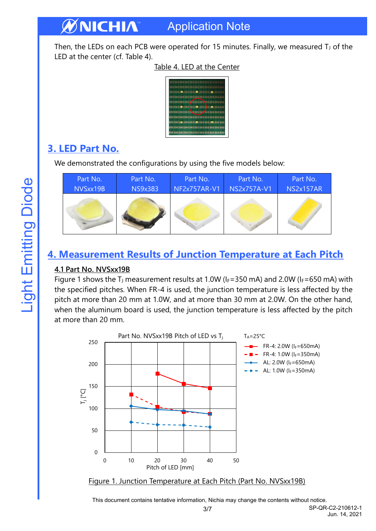Then, the LEDs on each PCB were operated for 15 minutes. Finally, we measured  $T_J$  of the LED at the center (cf. Table 4).

Application Note

|                                     | <b>1228238238228</b>                              |  |     |  |  |  |             |             |  |  |   |     |  |  |  |
|-------------------------------------|---------------------------------------------------|--|-----|--|--|--|-------------|-------------|--|--|---|-----|--|--|--|
| <b><i>BASSASSMSSASSMSSASSMS</i></b> |                                                   |  |     |  |  |  |             |             |  |  |   |     |  |  |  |
|                                     | <b></b>                                           |  |     |  |  |  | , <b></b> , |             |  |  |   |     |  |  |  |
|                                     | <b><i><u><b>HIBITITI</b></u></i></b>              |  |     |  |  |  |             |             |  |  |   |     |  |  |  |
|                                     |                                                   |  | 381 |  |  |  |             | <b>E BI</b> |  |  | ٠ |     |  |  |  |
|                                     | <b>LEILIONES</b>                                  |  |     |  |  |  |             |             |  |  |   |     |  |  |  |
|                                     | <b><i>BELLEL DE LA EN</i></b>                     |  |     |  |  |  |             |             |  |  |   |     |  |  |  |
|                                     | <b>02 ENS SWEENE ENS SUE EN</b>                   |  |     |  |  |  |             |             |  |  |   |     |  |  |  |
|                                     | <b><i>USED CONTRESSING</i></b>                    |  |     |  |  |  |             |             |  |  |   | 101 |  |  |  |
|                                     | <b><i>BOX 202 202 2N1 2N1 2N1 2N1 2N2 2N3</i></b> |  |     |  |  |  |             |             |  |  |   |     |  |  |  |
|                                     | ZO S BAS BUS SUS DIE 200 DAG DAS SAS SUS          |  |     |  |  |  |             |             |  |  |   |     |  |  |  |

### Table 4. LED at the Center

# <span id="page-2-0"></span>**3. LED Part No.**

**ØNICHIA** 

We demonstrated the configurations by using the five models below:

| Part No. | Part No.       | Part No.     | Part No.           | Part No.         |
|----------|----------------|--------------|--------------------|------------------|
| NVSxx19B | <b>NS9x383</b> | NF2x757AR-V1 | <b>NS2x757A-V1</b> | <b>NS2x157AR</b> |
|          |                |              |                    |                  |

# <span id="page-2-1"></span>**4. Measurement Results of Junction Temperature at Each Pitch**

### **4.1 Part No. NVSxx19B**

Figure 1 shows the T<sub>J</sub> measurement results at 1.0W ( $I_F$ =350 mA) and 2.0W ( $I_F$ =650 mA) with the specified pitches. When FR-4 is used, the junction temperature is less affected by the pitch at more than 20 mm at 1.0W, and at more than 30 mm at 2.0W. On the other hand, when the aluminum board is used, the junction temperature is less affected by the pitch at more than 20 mm.





This document contains tentative information, Nichia may change the contents without notice.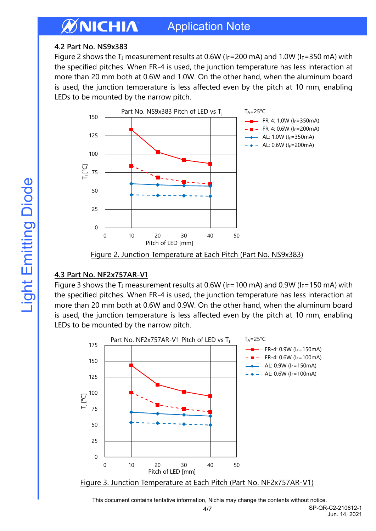### **4.2 Part No. NS9x383**

Figure 2 shows the T<sub>J</sub> measurement results at 0.6W ( $I_F$ =200 mA) and 1.0W ( $I_F$ =350 mA) with the specified pitches. When FR-4 is used, the junction temperature has less interaction at more than 20 mm both at 0.6W and 1.0W. On the other hand, when the aluminum board is used, the junction temperature is less affected even by the pitch at 10 mm, enabling LEDs to be mounted by the narrow pitch.



Figure 2. Junction Temperature at Each Pitch (Part No. NS9x383)

### **4.3 Part No. NF2x757AR-V1**

Figure 3 shows the T<sub>J</sub> measurement results at 0.6W ( $I_F$ =100 mA) and 0.9W ( $I_F$ =150 mA) with the specified pitches. When FR-4 is used, the junction temperature has less interaction at more than 20 mm both at 0.6W and 0.9W. On the other hand, when the aluminum board is used, the junction temperature is less affected even by the pitch at 10 mm, enabling LEDs to be mounted by the narrow pitch.



This document contains tentative information, Nichia may change the contents without notice.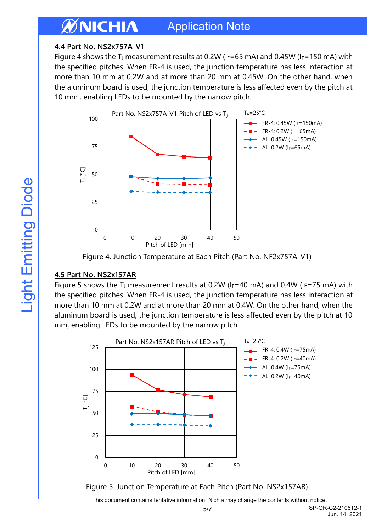### **4.4 Part No. NS2x757A-V1**

Figure 4 shows the T<sub>J</sub> measurement results at 0.2W ( $I_F=65$  mA) and 0.45W ( $I_F=150$  mA) with the specified pitches. When FR-4 is used, the junction temperature has less interaction at more than 10 mm at 0.2W and at more than 20 mm at 0.45W. On the other hand, when the aluminum board is used, the junction temperature is less affected even by the pitch at 10 mm , enabling LEDs to be mounted by the narrow pitch.



Figure 4. Junction Temperature at Each Pitch (Part No. NF2x757A-V1)

### **4.5 Part No. NS2x157AR**

Figure 5 shows the T<sub>J</sub> measurement results at 0.2W ( $I_F=40$  mA) and 0.4W ( $I_F=75$  mA) with the specified pitches. When FR-4 is used, the junction temperature has less interaction at more than 10 mm at 0.2W and at more than 20 mm at 0.4W. On the other hand, when the aluminum board is used, the junction temperature is less affected even by the pitch at 10 mm, enabling LEDs to be mounted by the narrow pitch.



Figure 5. Junction Temperature at Each Pitch (Part No. NS2x157AR)

This document contains tentative information, Nichia may change the contents without notice.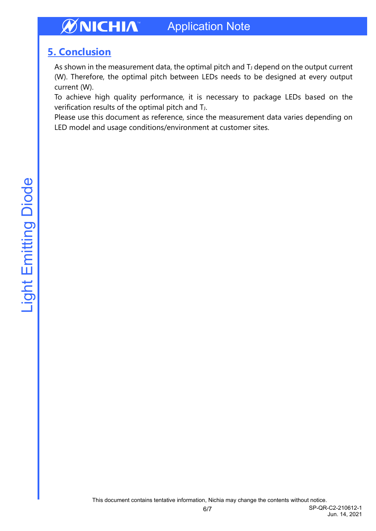# <span id="page-5-0"></span>**5. Conclusion**

As shown in the measurement data, the optimal pitch and  $T_J$  depend on the output current (W). Therefore, the optimal pitch between LEDs needs to be designed at every output current (W).

To achieve high quality performance, it is necessary to package LEDs based on the verification results of the optimal pitch and T<sub>J</sub>.

Please use this document as reference, since the measurement data varies depending on LED model and usage conditions/environment at customer sites.

Jun. 14, 2021